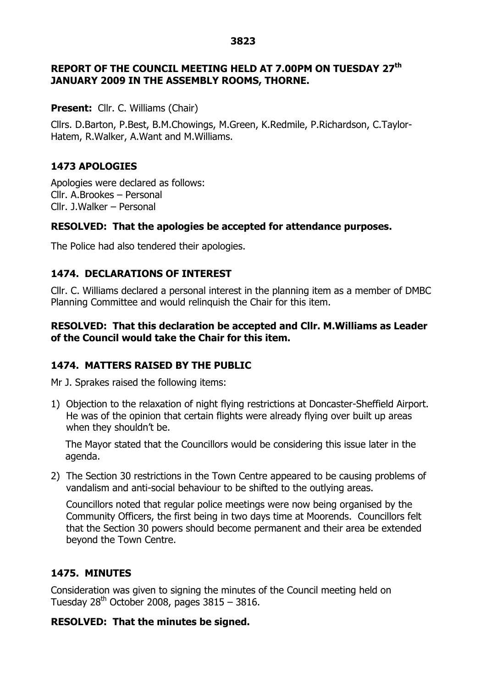#### **3823**

## **REPORT OF THE COUNCIL MEETING HELD AT 7.00PM ON TUESDAY 27th JANUARY 2009 IN THE ASSEMBLY ROOMS, THORNE.**

### **Present:** Cllr. C. Williams (Chair)

Cllrs. D.Barton, P.Best, B.M.Chowings, M.Green, K.Redmile, P.Richardson, C.Taylor-Hatem, R.Walker, A.Want and M.Williams.

## **1473 APOLOGIES**

Apologies were declared as follows: Cllr. A.Brookes – Personal Cllr. J.Walker – Personal

## **RESOLVED: That the apologies be accepted for attendance purposes.**

The Police had also tendered their apologies.

## **1474. DECLARATIONS OF INTEREST**

Cllr. C. Williams declared a personal interest in the planning item as a member of DMBC Planning Committee and would relinquish the Chair for this item.

### **RESOLVED: That this declaration be accepted and Cllr. M.Williams as Leader of the Council would take the Chair for this item.**

## **1474. MATTERS RAISED BY THE PUBLIC**

Mr J. Sprakes raised the following items:

1) Objection to the relaxation of night flying restrictions at Doncaster-Sheffield Airport. He was of the opinion that certain flights were already flying over built up areas when they shouldn't be.

The Mayor stated that the Councillors would be considering this issue later in the agenda.

2) The Section 30 restrictions in the Town Centre appeared to be causing problems of vandalism and anti-social behaviour to be shifted to the outlying areas.

Councillors noted that regular police meetings were now being organised by the Community Officers, the first being in two days time at Moorends. Councillors felt that the Section 30 powers should become permanent and their area be extended beyond the Town Centre.

## **1475. MINUTES**

Consideration was given to signing the minutes of the Council meeting held on Tuesday  $28^{th}$  October 2008, pages  $3815 - 3816$ .

#### **RESOLVED: That the minutes be signed.**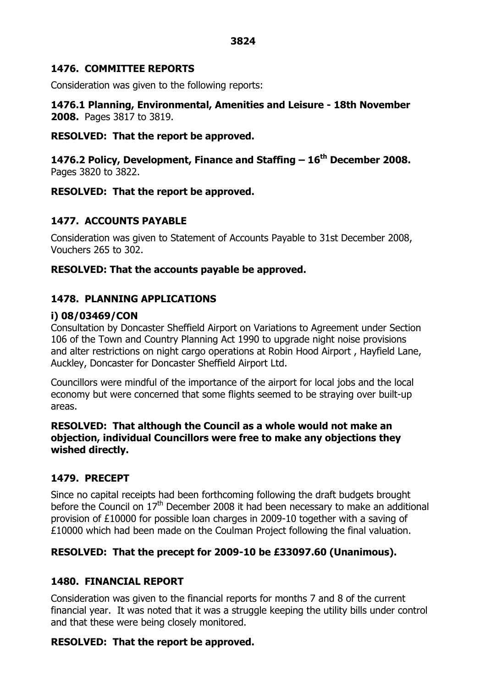## **1476. COMMITTEE REPORTS**

Consideration was given to the following reports:

**1476.1 Planning, Environmental, Amenities and Leisure - 18th November 2008.** Pages 3817 to 3819.

## **RESOLVED: That the report be approved.**

**1476.2 Policy, Development, Finance and Staffing – 16th December 2008.** Pages 3820 to 3822.

# **RESOLVED: That the report be approved.**

# **1477. ACCOUNTS PAYABLE**

Consideration was given to Statement of Accounts Payable to 31st December 2008, Vouchers 265 to 302.

## **RESOLVED: That the accounts payable be approved.**

# **1478. PLANNING APPLICATIONS**

# **i) 08/03469/CON**

Consultation by Doncaster Sheffield Airport on Variations to Agreement under Section 106 of the Town and Country Planning Act 1990 to upgrade night noise provisions and alter restrictions on night cargo operations at Robin Hood Airport , Hayfield Lane, Auckley, Doncaster for Doncaster Sheffield Airport Ltd.

Councillors were mindful of the importance of the airport for local jobs and the local economy but were concerned that some flights seemed to be straying over built-up areas.

## **RESOLVED: That although the Council as a whole would not make an objection, individual Councillors were free to make any objections they wished directly.**

# **1479. PRECEPT**

Since no capital receipts had been forthcoming following the draft budgets brought before the Council on  $17<sup>th</sup>$  December 2008 it had been necessary to make an additional provision of £10000 for possible loan charges in 2009-10 together with a saving of £10000 which had been made on the Coulman Project following the final valuation.

# **RESOLVED: That the precept for 2009-10 be £33097.60 (Unanimous).**

## **1480. FINANCIAL REPORT**

Consideration was given to the financial reports for months 7 and 8 of the current financial year. It was noted that it was a struggle keeping the utility bills under control and that these were being closely monitored.

# **RESOLVED: That the report be approved.**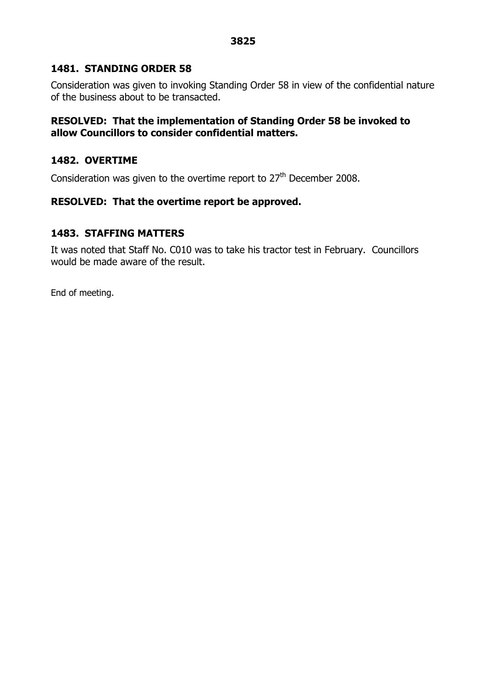#### **3825**

### **1481. STANDING ORDER 58**

Consideration was given to invoking Standing Order 58 in view of the confidential nature of the business about to be transacted.

### **RESOLVED: That the implementation of Standing Order 58 be invoked to allow Councillors to consider confidential matters.**

### **1482. OVERTIME**

Consideration was given to the overtime report to  $27<sup>th</sup>$  December 2008.

### **RESOLVED: That the overtime report be approved.**

### **1483. STAFFING MATTERS**

It was noted that Staff No. C010 was to take his tractor test in February. Councillors would be made aware of the result.

End of meeting.